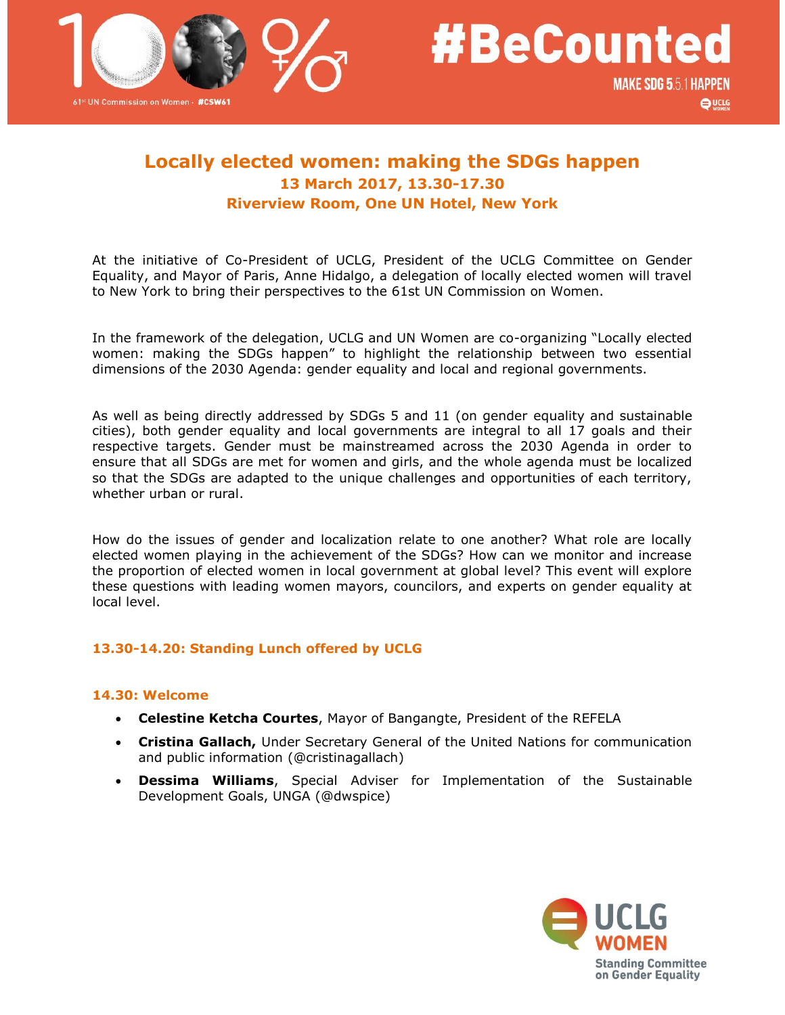

 $\bigoplus$  UCLG

# **Locally elected women: making the SDGs happen 13 March 2017, 13.30-17.30 Riverview Room, One UN Hotel, New York**

At the initiative of Co-President of UCLG, President of the UCLG Committee on Gender Equality, and Mayor of Paris, Anne Hidalgo, a delegation of locally elected women will travel to New York to bring their perspectives to the 61st UN Commission on Women.

In the framework of the delegation, UCLG and UN Women are co-organizing "Locally elected women: making the SDGs happen" to highlight the relationship between two essential dimensions of the 2030 Agenda: gender equality and local and regional governments.

As well as being directly addressed by SDGs 5 and 11 (on gender equality and sustainable cities), both gender equality and local governments are integral to all 17 goals and their respective targets. Gender must be mainstreamed across the 2030 Agenda in order to ensure that all SDGs are met for women and girls, and the whole agenda must be localized so that the SDGs are adapted to the unique challenges and opportunities of each territory, whether urban or rural.

How do the issues of gender and localization relate to one another? What role are locally elected women playing in the achievement of the SDGs? How can we monitor and increase the proportion of elected women in local government at global level? This event will explore these questions with leading women mayors, councilors, and experts on gender equality at local level.

# **13.30-14.20: Standing Lunch offered by UCLG**

### **14.30: Welcome**

- **Celestine Ketcha Courtes**, Mayor of Bangangte, President of the REFELA
- **Cristina Gallach,** Under Secretary General of the United Nations for communication and public information (@cristinagallach)
- **Dessima Williams**, Special Adviser for Implementation of the Sustainable Development Goals, UNGA (@dwspice)